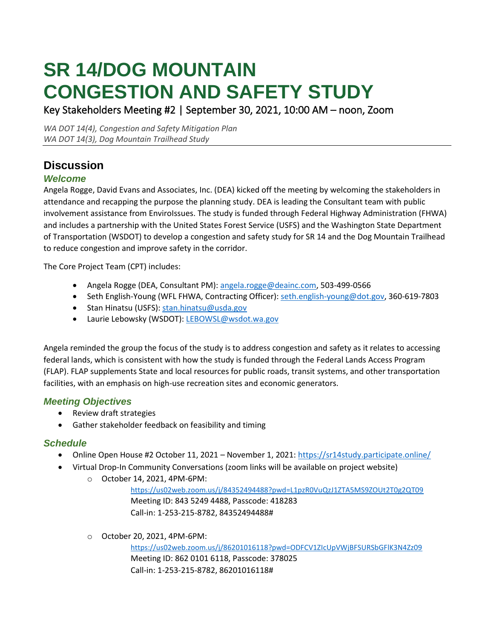# **SR 14/DOG MOUNTAIN CONGESTION AND SAFETY STUDY**

Key Stakeholders Meeting #2 | September 30, 2021, 10:00 AM – noon, Zoom

*WA DOT 14(4), Congestion and Safety Mitigation Plan WA DOT 14(3), Dog Mountain Trailhead Study*

## **Discussion**

#### *Welcome*

Angela Rogge, David Evans and Associates, Inc. (DEA) kicked off the meeting by welcoming the stakeholders in attendance and recapping the purpose the planning study. DEA is leading the Consultant team with public involvement assistance from EnviroIssues. The study is funded through Federal Highway Administration (FHWA) and includes a partnership with the United States Forest Service (USFS) and the Washington State Department of Transportation (WSDOT) to develop a congestion and safety study for SR 14 and the Dog Mountain Trailhead to reduce congestion and improve safety in the corridor.

The Core Project Team (CPT) includes:

- Angela Rogge (DEA, Consultant PM): [angela.rogge@deainc.com,](mailto:angela.rogge@deainc.com) 503-499-0566
- Seth English-Young (WFL FHWA, Contracting Officer): [seth.english-young@dot.gov,](mailto:seth.english-young@dot.gov) 360-619-7803
- Stan Hinatsu (USFS): [stan.hinatsu@usda.gov](mailto:stan.hinatsu@usda.gov)
- Laurie Lebowsky (WSDOT)[: LEBOWSL@wsdot.wa.gov](mailto:LEBOWSL@wsdot.wa.gov)

Angela reminded the group the focus of the study is to address congestion and safety as it relates to accessing federal lands, which is consistent with how the study is funded through the Federal Lands Access Program (FLAP). FLAP supplements State and local resources for public roads, transit systems, and other transportation facilities, with an emphasis on high-use recreation sites and economic generators.

#### *Meeting Objectives*

- Review draft strategies
- Gather stakeholder feedback on feasibility and timing

#### *Schedule*

- Online Open House #2 October 11, 2021 November 1, 2021:<https://sr14study.participate.online/>
- Virtual Drop-In Community Conversations (zoom links will be available on project website)
	- o October 14, 2021, 4PM-6PM:

<https://us02web.zoom.us/j/84352494488?pwd=L1pzR0VuQzJ1ZTA5MS9ZOUt2T0g2QT09> Meeting ID: 843 5249 4488, Passcode: 418283 Call-in: 1-253-215-8782, 84352494488#

o October 20, 2021, 4PM-6PM:

<https://us02web.zoom.us/j/86201016118?pwd=ODFCV1ZIcUpVWjBFSURSbGFlK3N4Zz09> Meeting ID: 862 0101 6118, Passcode: 378025 Call-in: 1-253-215-8782, 86201016118#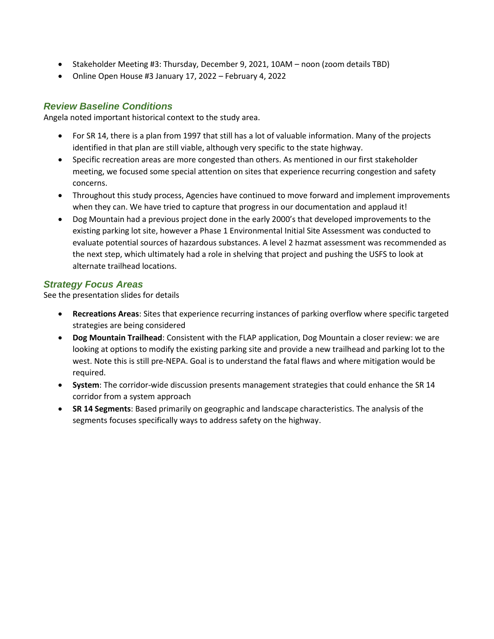- Stakeholder Meeting #3: Thursday, December 9, 2021, 10AM noon (zoom details TBD)
- Online Open House #3 January 17, 2022 February 4, 2022

#### *Review Baseline Conditions*

Angela noted important historical context to the study area.

- For SR 14, there is a plan from 1997 that still has a lot of valuable information. Many of the projects identified in that plan are still viable, although very specific to the state highway.
- Specific recreation areas are more congested than others. As mentioned in our first stakeholder meeting, we focused some special attention on sites that experience recurring congestion and safety concerns.
- Throughout this study process, Agencies have continued to move forward and implement improvements when they can. We have tried to capture that progress in our documentation and applaud it!
- Dog Mountain had a previous project done in the early 2000's that developed improvements to the existing parking lot site, however a Phase 1 Environmental Initial Site Assessment was conducted to evaluate potential sources of hazardous substances. A level 2 hazmat assessment was recommended as the next step, which ultimately had a role in shelving that project and pushing the USFS to look at alternate trailhead locations.

#### *Strategy Focus Areas*

See the presentation slides for details

- **Recreations Areas**: Sites that experience recurring instances of parking overflow where specific targeted strategies are being considered
- **Dog Mountain Trailhead**: Consistent with the FLAP application, Dog Mountain a closer review: we are looking at options to modify the existing parking site and provide a new trailhead and parking lot to the west. Note this is still pre-NEPA. Goal is to understand the fatal flaws and where mitigation would be required.
- **System**: The corridor-wide discussion presents management strategies that could enhance the SR 14 corridor from a system approach
- **SR 14 Segments**: Based primarily on geographic and landscape characteristics. The analysis of the segments focuses specifically ways to address safety on the highway.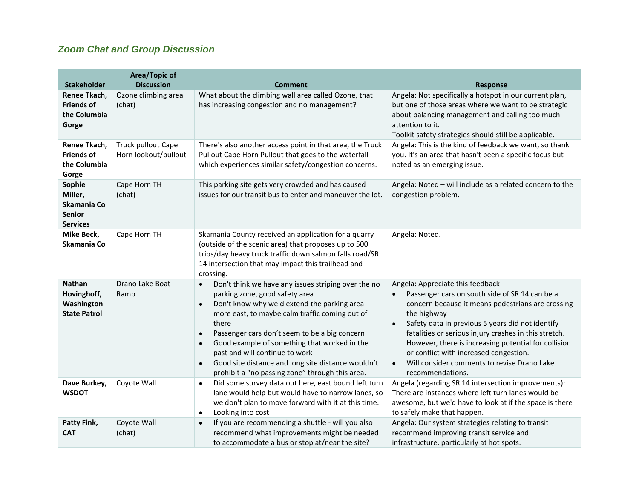### *Zoom Chat and Group Discussion*

|                                                                      | <b>Area/Topic of</b>                              |                                                                                                                                                                                                                                                                                                                                                                                                                                                                                                              |                                                                                                                                                                                                                                                                                                                                                                                                                                                                                 |
|----------------------------------------------------------------------|---------------------------------------------------|--------------------------------------------------------------------------------------------------------------------------------------------------------------------------------------------------------------------------------------------------------------------------------------------------------------------------------------------------------------------------------------------------------------------------------------------------------------------------------------------------------------|---------------------------------------------------------------------------------------------------------------------------------------------------------------------------------------------------------------------------------------------------------------------------------------------------------------------------------------------------------------------------------------------------------------------------------------------------------------------------------|
| <b>Stakeholder</b>                                                   | <b>Discussion</b>                                 | <b>Comment</b>                                                                                                                                                                                                                                                                                                                                                                                                                                                                                               | <b>Response</b>                                                                                                                                                                                                                                                                                                                                                                                                                                                                 |
| Renee Tkach,<br><b>Friends of</b><br>the Columbia<br>Gorge           | Ozone climbing area<br>(chat)                     | What about the climbing wall area called Ozone, that<br>has increasing congestion and no management?                                                                                                                                                                                                                                                                                                                                                                                                         | Angela: Not specifically a hotspot in our current plan,<br>but one of those areas where we want to be strategic<br>about balancing management and calling too much<br>attention to it.<br>Toolkit safety strategies should still be applicable.                                                                                                                                                                                                                                 |
| Renee Tkach,<br><b>Friends of</b><br>the Columbia<br>Gorge           | <b>Truck pullout Cape</b><br>Horn lookout/pullout | There's also another access point in that area, the Truck<br>Pullout Cape Horn Pullout that goes to the waterfall<br>which experiences similar safety/congestion concerns.                                                                                                                                                                                                                                                                                                                                   | Angela: This is the kind of feedback we want, so thank<br>you. It's an area that hasn't been a specific focus but<br>noted as an emerging issue.                                                                                                                                                                                                                                                                                                                                |
| Sophie<br>Miller,<br>Skamania Co<br><b>Senior</b><br><b>Services</b> | Cape Horn TH<br>(chat)                            | This parking site gets very crowded and has caused<br>issues for our transit bus to enter and maneuver the lot.                                                                                                                                                                                                                                                                                                                                                                                              | Angela: Noted - will include as a related concern to the<br>congestion problem.                                                                                                                                                                                                                                                                                                                                                                                                 |
| Mike Beck,<br>Skamania Co                                            | Cape Horn TH                                      | Skamania County received an application for a quarry<br>(outside of the scenic area) that proposes up to 500<br>trips/day heavy truck traffic down salmon falls road/SR<br>14 intersection that may impact this trailhead and<br>crossing.                                                                                                                                                                                                                                                                   | Angela: Noted.                                                                                                                                                                                                                                                                                                                                                                                                                                                                  |
| <b>Nathan</b><br>Hovinghoff,<br>Washington<br><b>State Patrol</b>    | Drano Lake Boat<br>Ramp                           | Don't think we have any issues striping over the no<br>$\bullet$<br>parking zone, good safety area<br>Don't know why we'd extend the parking area<br>$\bullet$<br>more east, to maybe calm traffic coming out of<br>there<br>Passenger cars don't seem to be a big concern<br>$\bullet$<br>Good example of something that worked in the<br>$\bullet$<br>past and will continue to work<br>Good site distance and long site distance wouldn't<br>$\bullet$<br>prohibit a "no passing zone" through this area. | Angela: Appreciate this feedback<br>Passenger cars on south side of SR 14 can be a<br>$\bullet$<br>concern because it means pedestrians are crossing<br>the highway<br>Safety data in previous 5 years did not identify<br>$\bullet$<br>fatalities or serious injury crashes in this stretch.<br>However, there is increasing potential for collision<br>or conflict with increased congestion.<br>Will consider comments to revise Drano Lake<br>$\bullet$<br>recommendations. |
| Dave Burkey,<br><b>WSDOT</b>                                         | Coyote Wall                                       | Did some survey data out here, east bound left turn<br>$\bullet$<br>lane would help but would have to narrow lanes, so<br>we don't plan to move forward with it at this time.<br>Looking into cost<br>$\bullet$                                                                                                                                                                                                                                                                                              | Angela (regarding SR 14 intersection improvements):<br>There are instances where left turn lanes would be<br>awesome, but we'd have to look at if the space is there<br>to safely make that happen.                                                                                                                                                                                                                                                                             |
| Patty Fink,<br><b>CAT</b>                                            | Coyote Wall<br>(chat)                             | If you are recommending a shuttle - will you also<br>$\bullet$<br>recommend what improvements might be needed<br>to accommodate a bus or stop at/near the site?                                                                                                                                                                                                                                                                                                                                              | Angela: Our system strategies relating to transit<br>recommend improving transit service and<br>infrastructure, particularly at hot spots.                                                                                                                                                                                                                                                                                                                                      |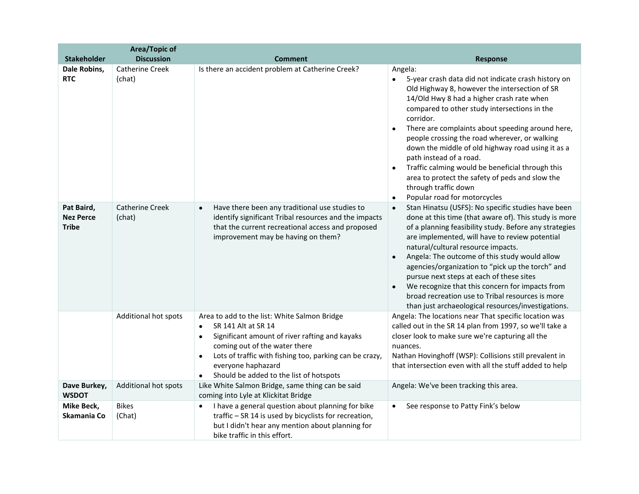|                                                | Area/Topic of                    |                                                                                                                                                                                                                                                                                                                                        |                                                                                                                                                                                                                                                                                                                                                                                                                                                                                                                                                                                                                      |
|------------------------------------------------|----------------------------------|----------------------------------------------------------------------------------------------------------------------------------------------------------------------------------------------------------------------------------------------------------------------------------------------------------------------------------------|----------------------------------------------------------------------------------------------------------------------------------------------------------------------------------------------------------------------------------------------------------------------------------------------------------------------------------------------------------------------------------------------------------------------------------------------------------------------------------------------------------------------------------------------------------------------------------------------------------------------|
| <b>Stakeholder</b>                             | <b>Discussion</b>                | <b>Comment</b>                                                                                                                                                                                                                                                                                                                         | <b>Response</b>                                                                                                                                                                                                                                                                                                                                                                                                                                                                                                                                                                                                      |
| Dale Robins,<br><b>RTC</b>                     | <b>Catherine Creek</b><br>(chat) | Is there an accident problem at Catherine Creek?                                                                                                                                                                                                                                                                                       | Angela:<br>5-year crash data did not indicate crash history on<br>$\bullet$<br>Old Highway 8, however the intersection of SR<br>14/Old Hwy 8 had a higher crash rate when<br>compared to other study intersections in the<br>corridor.<br>There are complaints about speeding around here,<br>people crossing the road wherever, or walking<br>down the middle of old highway road using it as a<br>path instead of a road.<br>Traffic calming would be beneficial through this<br>$\bullet$<br>area to protect the safety of peds and slow the<br>through traffic down<br>Popular road for motorcycles<br>$\bullet$ |
| Pat Baird,<br><b>Nez Perce</b><br><b>Tribe</b> | <b>Catherine Creek</b><br>(chat) | Have there been any traditional use studies to<br>$\bullet$<br>identify significant Tribal resources and the impacts<br>that the current recreational access and proposed<br>improvement may be having on them?                                                                                                                        | Stan Hinatsu (USFS): No specific studies have been<br>$\bullet$<br>done at this time (that aware of). This study is more<br>of a planning feasibility study. Before any strategies<br>are implemented, will have to review potential<br>natural/cultural resource impacts.<br>Angela: The outcome of this study would allow<br>$\bullet$<br>agencies/organization to "pick up the torch" and<br>pursue next steps at each of these sites<br>We recognize that this concern for impacts from<br>broad recreation use to Tribal resources is more<br>than just archaeological resources/investigations.                |
|                                                | Additional hot spots             | Area to add to the list: White Salmon Bridge<br>SR 141 Alt at SR 14<br>$\bullet$<br>Significant amount of river rafting and kayaks<br>$\bullet$<br>coming out of the water there<br>Lots of traffic with fishing too, parking can be crazy,<br>$\bullet$<br>everyone haphazard<br>Should be added to the list of hotspots<br>$\bullet$ | Angela: The locations near That specific location was<br>called out in the SR 14 plan from 1997, so we'll take a<br>closer look to make sure we're capturing all the<br>nuances.<br>Nathan Hovinghoff (WSP): Collisions still prevalent in<br>that intersection even with all the stuff added to help                                                                                                                                                                                                                                                                                                                |
| Dave Burkey,<br><b>WSDOT</b>                   | Additional hot spots             | Like White Salmon Bridge, same thing can be said<br>coming into Lyle at Klickitat Bridge                                                                                                                                                                                                                                               | Angela: We've been tracking this area.                                                                                                                                                                                                                                                                                                                                                                                                                                                                                                                                                                               |
| Mike Beck,<br>Skamania Co                      | <b>Bikes</b><br>(Chat)           | I have a general question about planning for bike<br>$\bullet$<br>traffic - SR 14 is used by bicyclists for recreation,<br>but I didn't hear any mention about planning for<br>bike traffic in this effort.                                                                                                                            | See response to Patty Fink's below<br>$\bullet$                                                                                                                                                                                                                                                                                                                                                                                                                                                                                                                                                                      |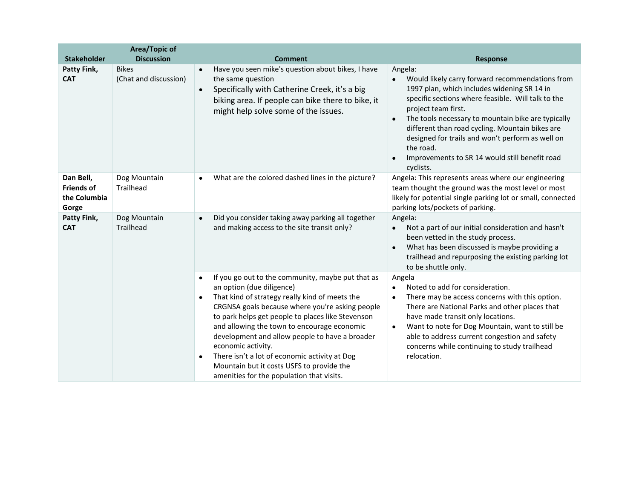|                                                         | <b>Area/Topic of</b>                  |                                                                                                                                                                                                                                                                                                                                                                                                                                                                                                                                                   |                                                                                                                                                                                                                                                                                                                                                                                                                                                                        |
|---------------------------------------------------------|---------------------------------------|---------------------------------------------------------------------------------------------------------------------------------------------------------------------------------------------------------------------------------------------------------------------------------------------------------------------------------------------------------------------------------------------------------------------------------------------------------------------------------------------------------------------------------------------------|------------------------------------------------------------------------------------------------------------------------------------------------------------------------------------------------------------------------------------------------------------------------------------------------------------------------------------------------------------------------------------------------------------------------------------------------------------------------|
| <b>Stakeholder</b>                                      | <b>Discussion</b>                     | <b>Comment</b>                                                                                                                                                                                                                                                                                                                                                                                                                                                                                                                                    | <b>Response</b>                                                                                                                                                                                                                                                                                                                                                                                                                                                        |
| Patty Fink,<br><b>CAT</b>                               | <b>Bikes</b><br>(Chat and discussion) | Have you seen mike's question about bikes, I have<br>$\bullet$<br>the same question<br>Specifically with Catherine Creek, it's a big<br>$\bullet$<br>biking area. If people can bike there to bike, it<br>might help solve some of the issues.                                                                                                                                                                                                                                                                                                    | Angela:<br>Would likely carry forward recommendations from<br>$\bullet$<br>1997 plan, which includes widening SR 14 in<br>specific sections where feasible. Will talk to the<br>project team first.<br>The tools necessary to mountain bike are typically<br>$\bullet$<br>different than road cycling. Mountain bikes are<br>designed for trails and won't perform as well on<br>the road.<br>Improvements to SR 14 would still benefit road<br>$\bullet$<br>cyclists. |
| Dan Bell,<br><b>Friends of</b><br>the Columbia<br>Gorge | Dog Mountain<br><b>Trailhead</b>      | What are the colored dashed lines in the picture?                                                                                                                                                                                                                                                                                                                                                                                                                                                                                                 | Angela: This represents areas where our engineering<br>team thought the ground was the most level or most<br>likely for potential single parking lot or small, connected<br>parking lots/pockets of parking.                                                                                                                                                                                                                                                           |
| Patty Fink,<br><b>CAT</b>                               | Dog Mountain<br><b>Trailhead</b>      | Did you consider taking away parking all together<br>$\bullet$<br>and making access to the site transit only?                                                                                                                                                                                                                                                                                                                                                                                                                                     | Angela:<br>Not a part of our initial consideration and hasn't<br>$\bullet$<br>been vetted in the study process.<br>What has been discussed is maybe providing a<br>trailhead and repurposing the existing parking lot<br>to be shuttle only.                                                                                                                                                                                                                           |
|                                                         |                                       | If you go out to the community, maybe put that as<br>$\bullet$<br>an option (due diligence)<br>That kind of strategy really kind of meets the<br>$\bullet$<br>CRGNSA goals because where you're asking people<br>to park helps get people to places like Stevenson<br>and allowing the town to encourage economic<br>development and allow people to have a broader<br>economic activity.<br>There isn't a lot of economic activity at Dog<br>$\bullet$<br>Mountain but it costs USFS to provide the<br>amenities for the population that visits. | Angela<br>Noted to add for consideration.<br>$\bullet$<br>There may be access concerns with this option.<br>$\bullet$<br>There are National Parks and other places that<br>have made transit only locations.<br>Want to note for Dog Mountain, want to still be<br>$\bullet$<br>able to address current congestion and safety<br>concerns while continuing to study trailhead<br>relocation.                                                                           |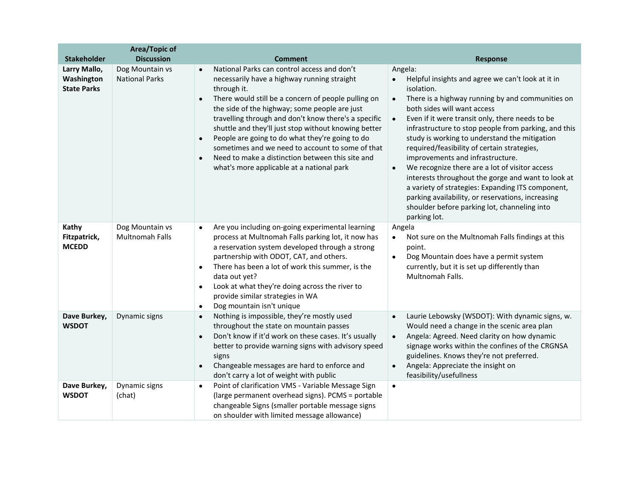|                                                  | <b>Area/Topic of</b>                     |                                                                                                                                                                                                                                                                                                                                                                                                                                                                                                                                                                                  |                                                                                                                                                                                                                                                                                                                                                                                                                                                                                                                                                                                                                                                                                                                                       |
|--------------------------------------------------|------------------------------------------|----------------------------------------------------------------------------------------------------------------------------------------------------------------------------------------------------------------------------------------------------------------------------------------------------------------------------------------------------------------------------------------------------------------------------------------------------------------------------------------------------------------------------------------------------------------------------------|---------------------------------------------------------------------------------------------------------------------------------------------------------------------------------------------------------------------------------------------------------------------------------------------------------------------------------------------------------------------------------------------------------------------------------------------------------------------------------------------------------------------------------------------------------------------------------------------------------------------------------------------------------------------------------------------------------------------------------------|
| <b>Stakeholder</b>                               | <b>Discussion</b>                        | <b>Comment</b>                                                                                                                                                                                                                                                                                                                                                                                                                                                                                                                                                                   | <b>Response</b>                                                                                                                                                                                                                                                                                                                                                                                                                                                                                                                                                                                                                                                                                                                       |
| Larry Mallo,<br>Washington<br><b>State Parks</b> | Dog Mountain vs<br><b>National Parks</b> | National Parks can control access and don't<br>$\bullet$<br>necessarily have a highway running straight<br>through it.<br>There would still be a concern of people pulling on<br>$\bullet$<br>the side of the highway; some people are just<br>travelling through and don't know there's a specific<br>shuttle and they'll just stop without knowing better<br>People are going to do what they're going to do<br>$\bullet$<br>sometimes and we need to account to some of that<br>Need to make a distinction between this site and<br>what's more applicable at a national park | Angela:<br>Helpful insights and agree we can't look at it in<br>isolation.<br>There is a highway running by and communities on<br>$\bullet$<br>both sides will want access<br>Even if it were transit only, there needs to be<br>$\bullet$<br>infrastructure to stop people from parking, and this<br>study is working to understand the mitigation<br>required/feasibility of certain strategies,<br>improvements and infrastructure.<br>We recognize there are a lot of visitor access<br>$\bullet$<br>interests throughout the gorge and want to look at<br>a variety of strategies: Expanding ITS component,<br>parking availability, or reservations, increasing<br>shoulder before parking lot, channeling into<br>parking lot. |
| Kathy<br>Fitzpatrick,<br><b>MCEDD</b>            | Dog Mountain vs<br>Multnomah Falls       | Are you including on-going experimental learning<br>$\bullet$<br>process at Multnomah Falls parking lot, it now has<br>a reservation system developed through a strong<br>partnership with ODOT, CAT, and others.<br>There has been a lot of work this summer, is the<br>$\bullet$<br>data out yet?<br>Look at what they're doing across the river to<br>$\bullet$<br>provide similar strategies in WA<br>Dog mountain isn't unique<br>$\bullet$                                                                                                                                 | Angela<br>Not sure on the Multnomah Falls findings at this<br>$\bullet$<br>point.<br>Dog Mountain does have a permit system<br>$\bullet$<br>currently, but it is set up differently than<br>Multnomah Falls.                                                                                                                                                                                                                                                                                                                                                                                                                                                                                                                          |
| Dave Burkey,<br><b>WSDOT</b>                     | Dynamic signs                            | Nothing is impossible, they're mostly used<br>$\bullet$<br>throughout the state on mountain passes<br>Don't know if it'd work on these cases. It's usually<br>$\bullet$<br>better to provide warning signs with advisory speed<br>signs<br>Changeable messages are hard to enforce and<br>$\bullet$<br>don't carry a lot of weight with public                                                                                                                                                                                                                                   | Laurie Lebowsky (WSDOT): With dynamic signs, w.<br>$\bullet$<br>Would need a change in the scenic area plan<br>Angela: Agreed. Need clarity on how dynamic<br>$\bullet$<br>signage works within the confines of the CRGNSA<br>guidelines. Knows they're not preferred.<br>Angela: Appreciate the insight on<br>$\bullet$<br>feasibility/usefullness                                                                                                                                                                                                                                                                                                                                                                                   |
| Dave Burkey,<br><b>WSDOT</b>                     | Dynamic signs<br>(chat)                  | Point of clarification VMS - Variable Message Sign<br>$\bullet$<br>(large permanent overhead signs). PCMS = portable<br>changeable Signs (smaller portable message signs<br>on shoulder with limited message allowance)                                                                                                                                                                                                                                                                                                                                                          | $\bullet$                                                                                                                                                                                                                                                                                                                                                                                                                                                                                                                                                                                                                                                                                                                             |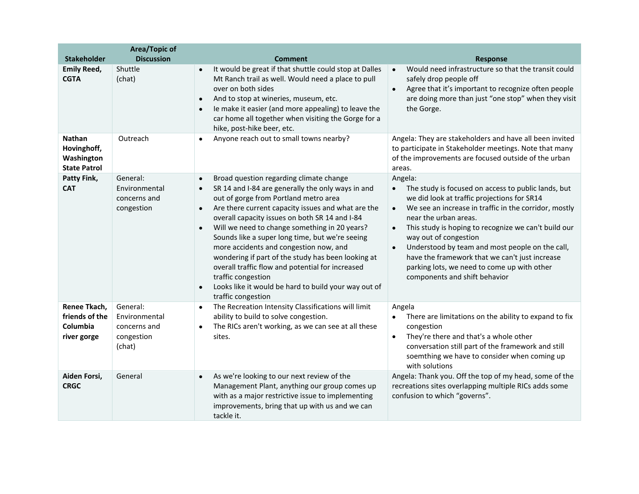|                                                                   | Area/Topic of                                                     |                                                                                                                                                                                                                                                                                                                                                                                                                                                                                                                                                                                                                                                                            |                                                                                                                                                                                                                                                                                                                                                                                                                                                                                                              |
|-------------------------------------------------------------------|-------------------------------------------------------------------|----------------------------------------------------------------------------------------------------------------------------------------------------------------------------------------------------------------------------------------------------------------------------------------------------------------------------------------------------------------------------------------------------------------------------------------------------------------------------------------------------------------------------------------------------------------------------------------------------------------------------------------------------------------------------|--------------------------------------------------------------------------------------------------------------------------------------------------------------------------------------------------------------------------------------------------------------------------------------------------------------------------------------------------------------------------------------------------------------------------------------------------------------------------------------------------------------|
| <b>Stakeholder</b>                                                | <b>Discussion</b>                                                 | <b>Comment</b>                                                                                                                                                                                                                                                                                                                                                                                                                                                                                                                                                                                                                                                             | <b>Response</b>                                                                                                                                                                                                                                                                                                                                                                                                                                                                                              |
| <b>Emily Reed,</b><br><b>CGTA</b>                                 | Shuttle<br>(chat)                                                 | It would be great if that shuttle could stop at Dalles<br>$\bullet$<br>Mt Ranch trail as well. Would need a place to pull<br>over on both sides<br>And to stop at wineries, museum, etc.<br>$\bullet$<br>Ie make it easier (and more appealing) to leave the<br>car home all together when visiting the Gorge for a<br>hike, post-hike beer, etc.                                                                                                                                                                                                                                                                                                                          | Would need infrastructure so that the transit could<br>$\bullet$<br>safely drop people off<br>Agree that it's important to recognize often people<br>$\bullet$<br>are doing more than just "one stop" when they visit<br>the Gorge.                                                                                                                                                                                                                                                                          |
| <b>Nathan</b><br>Hovinghoff,<br>Washington<br><b>State Patrol</b> | Outreach                                                          | Anyone reach out to small towns nearby?<br>$\bullet$                                                                                                                                                                                                                                                                                                                                                                                                                                                                                                                                                                                                                       | Angela: They are stakeholders and have all been invited<br>to participate in Stakeholder meetings. Note that many<br>of the improvements are focused outside of the urban<br>areas.                                                                                                                                                                                                                                                                                                                          |
| Patty Fink,<br><b>CAT</b>                                         | General:<br>Environmental<br>concerns and<br>congestion           | Broad question regarding climate change<br>$\bullet$<br>SR 14 and I-84 are generally the only ways in and<br>$\bullet$<br>out of gorge from Portland metro area<br>Are there current capacity issues and what are the<br>$\bullet$<br>overall capacity issues on both SR 14 and I-84<br>Will we need to change something in 20 years?<br>$\bullet$<br>Sounds like a super long time, but we're seeing<br>more accidents and congestion now, and<br>wondering if part of the study has been looking at<br>overall traffic flow and potential for increased<br>traffic congestion<br>Looks like it would be hard to build your way out of<br>$\bullet$<br>traffic congestion | Angela:<br>The study is focused on access to public lands, but<br>we did look at traffic projections for SR14<br>We see an increase in traffic in the corridor, mostly<br>$\bullet$<br>near the urban areas.<br>This study is hoping to recognize we can't build our<br>$\bullet$<br>way out of congestion<br>Understood by team and most people on the call,<br>$\bullet$<br>have the framework that we can't just increase<br>parking lots, we need to come up with other<br>components and shift behavior |
| Renee Tkach,<br>friends of the<br>Columbia<br>river gorge         | General:<br>Environmental<br>concerns and<br>congestion<br>(chat) | The Recreation Intensity Classifications will limit<br>$\bullet$<br>ability to build to solve congestion.<br>The RICs aren't working, as we can see at all these<br>$\bullet$<br>sites.                                                                                                                                                                                                                                                                                                                                                                                                                                                                                    | Angela<br>There are limitations on the ability to expand to fix<br>congestion<br>They're there and that's a whole other<br>$\bullet$<br>conversation still part of the framework and still<br>soemthing we have to consider when coming up<br>with solutions                                                                                                                                                                                                                                                 |
| Aiden Forsi,<br><b>CRGC</b>                                       | General                                                           | As we're looking to our next review of the<br>Management Plant, anything our group comes up<br>with as a major restrictive issue to implementing<br>improvements, bring that up with us and we can<br>tackle it.                                                                                                                                                                                                                                                                                                                                                                                                                                                           | Angela: Thank you. Off the top of my head, some of the<br>recreations sites overlapping multiple RICs adds some<br>confusion to which "governs".                                                                                                                                                                                                                                                                                                                                                             |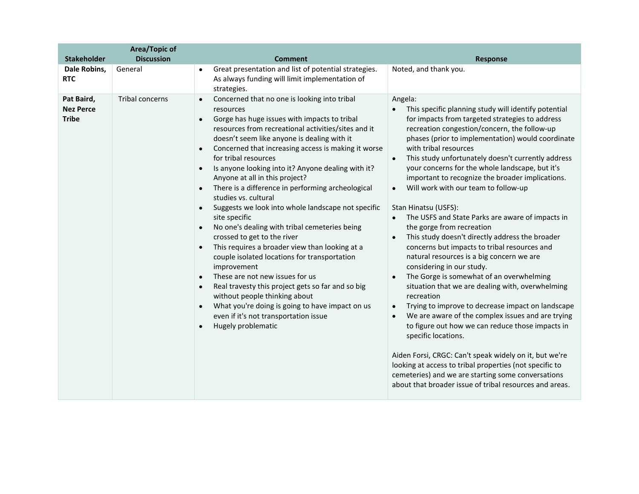|                                                | <b>Area/Topic of</b> |                                                                                                                                                                                                                                                                                                                                                                                                                                                                                                                                                                                                                                                                                                                                                                                                                                                                                                                                                                                                                                                                                                                          |                                                                                                                                                                                                                                                                                                                                                                                                                                                                                                                                                                                                                                                                                                                                                                                                                                                                                                                                                                                                                                                                                                                                                                                                                                                                                                                                                                                              |
|------------------------------------------------|----------------------|--------------------------------------------------------------------------------------------------------------------------------------------------------------------------------------------------------------------------------------------------------------------------------------------------------------------------------------------------------------------------------------------------------------------------------------------------------------------------------------------------------------------------------------------------------------------------------------------------------------------------------------------------------------------------------------------------------------------------------------------------------------------------------------------------------------------------------------------------------------------------------------------------------------------------------------------------------------------------------------------------------------------------------------------------------------------------------------------------------------------------|----------------------------------------------------------------------------------------------------------------------------------------------------------------------------------------------------------------------------------------------------------------------------------------------------------------------------------------------------------------------------------------------------------------------------------------------------------------------------------------------------------------------------------------------------------------------------------------------------------------------------------------------------------------------------------------------------------------------------------------------------------------------------------------------------------------------------------------------------------------------------------------------------------------------------------------------------------------------------------------------------------------------------------------------------------------------------------------------------------------------------------------------------------------------------------------------------------------------------------------------------------------------------------------------------------------------------------------------------------------------------------------------|
| <b>Stakeholder</b>                             | <b>Discussion</b>    | <b>Comment</b>                                                                                                                                                                                                                                                                                                                                                                                                                                                                                                                                                                                                                                                                                                                                                                                                                                                                                                                                                                                                                                                                                                           | <b>Response</b>                                                                                                                                                                                                                                                                                                                                                                                                                                                                                                                                                                                                                                                                                                                                                                                                                                                                                                                                                                                                                                                                                                                                                                                                                                                                                                                                                                              |
| Dale Robins,<br><b>RTC</b>                     | General              | Great presentation and list of potential strategies.<br>$\bullet$<br>As always funding will limit implementation of<br>strategies.                                                                                                                                                                                                                                                                                                                                                                                                                                                                                                                                                                                                                                                                                                                                                                                                                                                                                                                                                                                       | Noted, and thank you.                                                                                                                                                                                                                                                                                                                                                                                                                                                                                                                                                                                                                                                                                                                                                                                                                                                                                                                                                                                                                                                                                                                                                                                                                                                                                                                                                                        |
| Pat Baird,<br><b>Nez Perce</b><br><b>Tribe</b> | Tribal concerns      | Concerned that no one is looking into tribal<br>resources<br>Gorge has huge issues with impacts to tribal<br>$\bullet$<br>resources from recreational activities/sites and it<br>doesn't seem like anyone is dealing with it<br>Concerned that increasing access is making it worse<br>$\bullet$<br>for tribal resources<br>Is anyone looking into it? Anyone dealing with it?<br>$\bullet$<br>Anyone at all in this project?<br>There is a difference in performing archeological<br>$\bullet$<br>studies vs. cultural<br>Suggests we look into whole landscape not specific<br>$\bullet$<br>site specific<br>No one's dealing with tribal cemeteries being<br>crossed to get to the river<br>This requires a broader view than looking at a<br>$\bullet$<br>couple isolated locations for transportation<br>improvement<br>These are not new issues for us<br>$\bullet$<br>Real travesty this project gets so far and so big<br>$\bullet$<br>without people thinking about<br>What you're doing is going to have impact on us<br>$\bullet$<br>even if it's not transportation issue<br>Hugely problematic<br>$\bullet$ | Angela:<br>This specific planning study will identify potential<br>$\bullet$<br>for impacts from targeted strategies to address<br>recreation congestion/concern, the follow-up<br>phases (prior to implementation) would coordinate<br>with tribal resources<br>This study unfortunately doesn't currently address<br>$\bullet$<br>your concerns for the whole landscape, but it's<br>important to recognize the broader implications.<br>Will work with our team to follow-up<br>$\bullet$<br>Stan Hinatsu (USFS):<br>The USFS and State Parks are aware of impacts in<br>$\bullet$<br>the gorge from recreation<br>This study doesn't directly address the broader<br>$\bullet$<br>concerns but impacts to tribal resources and<br>natural resources is a big concern we are<br>considering in our study.<br>The Gorge is somewhat of an overwhelming<br>$\bullet$<br>situation that we are dealing with, overwhelming<br>recreation<br>Trying to improve to decrease impact on landscape<br>$\bullet$<br>We are aware of the complex issues and are trying<br>$\bullet$<br>to figure out how we can reduce those impacts in<br>specific locations.<br>Aiden Forsi, CRGC: Can't speak widely on it, but we're<br>looking at access to tribal properties (not specific to<br>cemeteries) and we are starting some conversations<br>about that broader issue of tribal resources and areas. |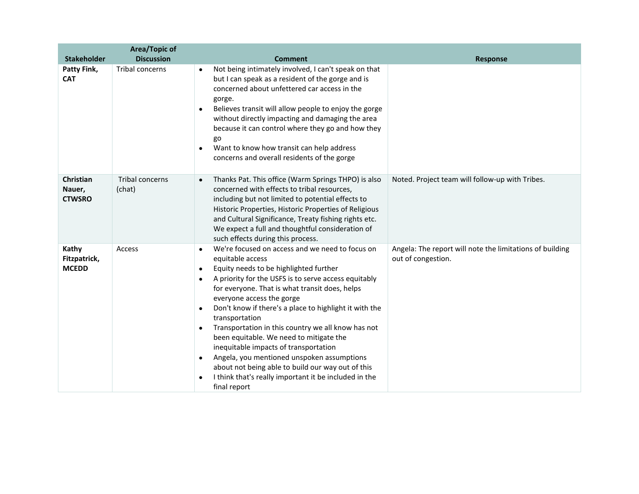|                                       | <b>Area/Topic of</b>      |                                                                                                                                                                                                                                                                                                                                                                                                                                                                                                                                                                                                                                                                                                                              |                                                                                |
|---------------------------------------|---------------------------|------------------------------------------------------------------------------------------------------------------------------------------------------------------------------------------------------------------------------------------------------------------------------------------------------------------------------------------------------------------------------------------------------------------------------------------------------------------------------------------------------------------------------------------------------------------------------------------------------------------------------------------------------------------------------------------------------------------------------|--------------------------------------------------------------------------------|
| <b>Stakeholder</b>                    | <b>Discussion</b>         | <b>Comment</b>                                                                                                                                                                                                                                                                                                                                                                                                                                                                                                                                                                                                                                                                                                               | <b>Response</b>                                                                |
| Patty Fink,<br><b>CAT</b>             | Tribal concerns           | Not being intimately involved, I can't speak on that<br>$\bullet$<br>but I can speak as a resident of the gorge and is<br>concerned about unfettered car access in the<br>gorge.<br>Believes transit will allow people to enjoy the gorge<br>$\bullet$<br>without directly impacting and damaging the area<br>because it can control where they go and how they<br>go<br>Want to know how transit can help address<br>$\bullet$<br>concerns and overall residents of the gorge                                                                                                                                                                                                                                               |                                                                                |
| Christian<br>Nauer,<br><b>CTWSRO</b>  | Tribal concerns<br>(chat) | Thanks Pat. This office (Warm Springs THPO) is also<br>$\bullet$<br>concerned with effects to tribal resources,<br>including but not limited to potential effects to<br>Historic Properties, Historic Properties of Religious<br>and Cultural Significance, Treaty fishing rights etc.<br>We expect a full and thoughtful consideration of<br>such effects during this process.                                                                                                                                                                                                                                                                                                                                              | Noted. Project team will follow-up with Tribes.                                |
| Kathy<br>Fitzpatrick,<br><b>MCEDD</b> | Access                    | We're focused on access and we need to focus on<br>$\bullet$<br>equitable access<br>Equity needs to be highlighted further<br>$\bullet$<br>A priority for the USFS is to serve access equitably<br>$\bullet$<br>for everyone. That is what transit does, helps<br>everyone access the gorge<br>Don't know if there's a place to highlight it with the<br>٠<br>transportation<br>Transportation in this country we all know has not<br>$\bullet$<br>been equitable. We need to mitigate the<br>inequitable impacts of transportation<br>Angela, you mentioned unspoken assumptions<br>$\bullet$<br>about not being able to build our way out of this<br>I think that's really important it be included in the<br>final report | Angela: The report will note the limitations of building<br>out of congestion. |